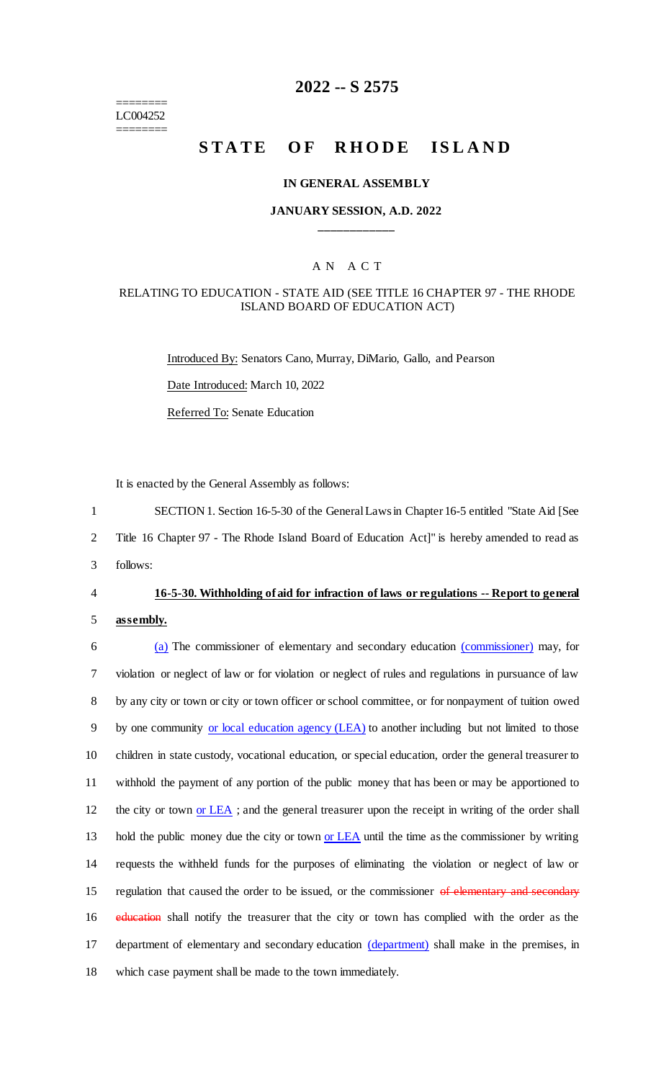======== LC004252 ========

# **2022 -- S 2575**

# **STATE OF RHODE ISLAND**

#### **IN GENERAL ASSEMBLY**

## **JANUARY SESSION, A.D. 2022 \_\_\_\_\_\_\_\_\_\_\_\_**

## A N A C T

#### RELATING TO EDUCATION - STATE AID (SEE TITLE 16 CHAPTER 97 - THE RHODE ISLAND BOARD OF EDUCATION ACT)

Introduced By: Senators Cano, Murray, DiMario, Gallo, and Pearson Date Introduced: March 10, 2022 Referred To: Senate Education

It is enacted by the General Assembly as follows:

1 SECTION 1. Section 16-5-30 of the General Laws in Chapter 16-5 entitled "State Aid [See

2 Title 16 Chapter 97 - The Rhode Island Board of Education Act]" is hereby amended to read as

3 follows:

#### 4 **16-5-30. Withholding of aid for infraction of laws or regulations -- Report to general**

5 **assembly.**

6 (a) The commissioner of elementary and secondary education (commissioner) may, for 7 violation or neglect of law or for violation or neglect of rules and regulations in pursuance of law 8 by any city or town or city or town officer or school committee, or for nonpayment of tuition owed 9 by one community or local education agency (LEA) to another including but not limited to those 10 children in state custody, vocational education, or special education, order the general treasurer to 11 withhold the payment of any portion of the public money that has been or may be apportioned to 12 the city or town or LEA; and the general treasurer upon the receipt in writing of the order shall 13 hold the public money due the city or town or LEA until the time as the commissioner by writing 14 requests the withheld funds for the purposes of eliminating the violation or neglect of law or 15 regulation that caused the order to be issued, or the commissioner of elementary and secondary 16 education shall notify the treasurer that the city or town has complied with the order as the 17 department of elementary and secondary education (department) shall make in the premises, in 18 which case payment shall be made to the town immediately.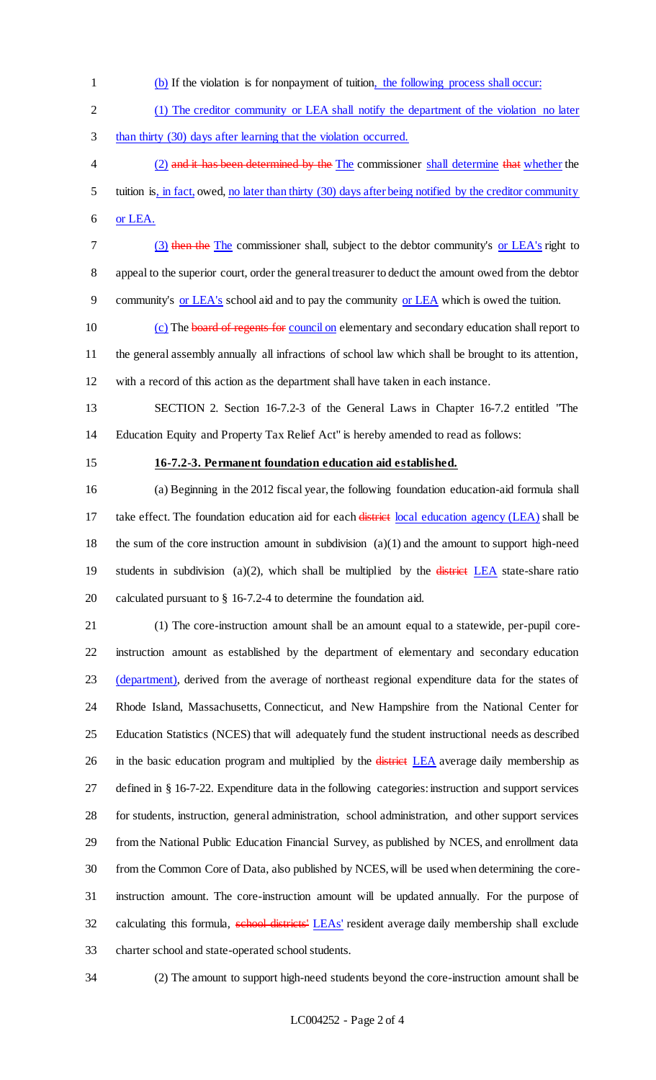- (b) If the violation is for nonpayment of tuition, the following process shall occur:
- 2 (1) The creditor community or LEA shall notify the department of the violation no later
- than thirty (30) days after learning that the violation occurred.
- 4 (2) and it has been determined by the The commissioner shall determine that whether the tuition is, in fact, owed, no later than thirty (30) days after being notified by the creditor community or LEA.
- (3) then the The commissioner shall, subject to the debtor community's or LEA's right to
- appeal to the superior court, order the general treasurer to deduct the amount owed from the debtor
- community's or LEA's school aid and to pay the community or LEA which is owed the tuition.
- (c) The board of regents for council on elementary and secondary education shall report to the general assembly annually all infractions of school law which shall be brought to its attention, with a record of this action as the department shall have taken in each instance.
- SECTION 2. Section 16-7.2-3 of the General Laws in Chapter 16-7.2 entitled "The Education Equity and Property Tax Relief Act" is hereby amended to read as follows:
- 

#### **16-7.2-3. Permanent foundation education aid established.**

 (a) Beginning in the 2012 fiscal year, the following foundation education-aid formula shall 17 take effect. The foundation education aid for each district local education agency (LEA) shall be the sum of the core instruction amount in subdivision (a)(1) and the amount to support high-need 19 students in subdivision (a)(2), which shall be multiplied by the  $\frac{d\theta}{dt}$  state-share ratio calculated pursuant to § 16-7.2-4 to determine the foundation aid.

- (1) The core-instruction amount shall be an amount equal to a statewide, per-pupil core- instruction amount as established by the department of elementary and secondary education 23 (department), derived from the average of northeast regional expenditure data for the states of Rhode Island, Massachusetts, Connecticut, and New Hampshire from the National Center for Education Statistics (NCES) that will adequately fund the student instructional needs as described 26 in the basic education program and multiplied by the district LEA average daily membership as defined in § 16-7-22. Expenditure data in the following categories: instruction and support services for students, instruction, general administration, school administration, and other support services from the National Public Education Financial Survey, as published by NCES, and enrollment data from the Common Core of Data, also published by NCES, will be used when determining the core- instruction amount. The core-instruction amount will be updated annually. For the purpose of 32 calculating this formula, school districts' LEAs' resident average daily membership shall exclude charter school and state-operated school students.
- 

(2) The amount to support high-need students beyond the core-instruction amount shall be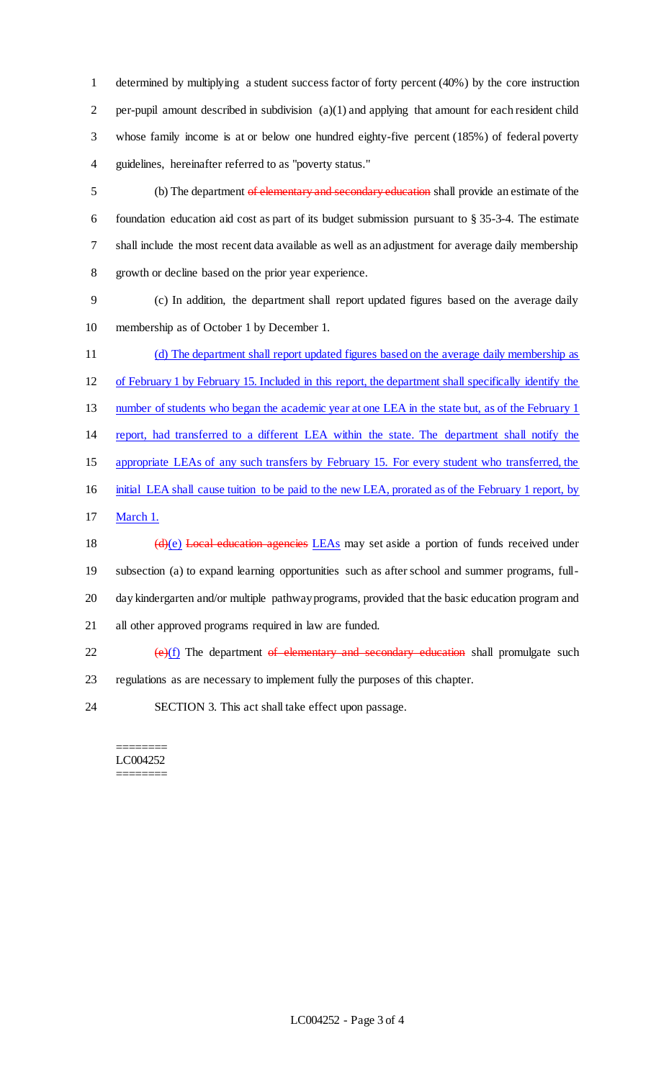determined by multiplying a student success factor of forty percent (40%) by the core instruction per-pupil amount described in subdivision (a)(1) and applying that amount for each resident child whose family income is at or below one hundred eighty-five percent (185%) of federal poverty guidelines, hereinafter referred to as "poverty status."

 (b) The department of elementary and secondary education shall provide an estimate of the foundation education aid cost as part of its budget submission pursuant to § 35-3-4. The estimate shall include the most recent data available as well as an adjustment for average daily membership growth or decline based on the prior year experience.

 (c) In addition, the department shall report updated figures based on the average daily membership as of October 1 by December 1.

 (d) The department shall report updated figures based on the average daily membership as of February 1 by February 15. Included in this report, the department shall specifically identify the 13 number of students who began the academic year at one LEA in the state but, as of the February 1 report, had transferred to a different LEA within the state. The department shall notify the appropriate LEAs of any such transfers by February 15. For every student who transferred, the initial LEA shall cause tuition to be paid to the new LEA, prorated as of the February 1 report, by March 1. 18 (d)(e) Local education agencies LEAs may set aside a portion of funds received under subsection (a) to expand learning opportunities such as after school and summer programs, full- day kindergarten and/or multiple pathway programs, provided that the basic education program and all other approved programs required in law are funded.  $(e)(f)$  The department of elementary and secondary education shall promulgate such

regulations as are necessary to implement fully the purposes of this chapter.

SECTION 3. This act shall take effect upon passage.

#### ======== LC004252 ========